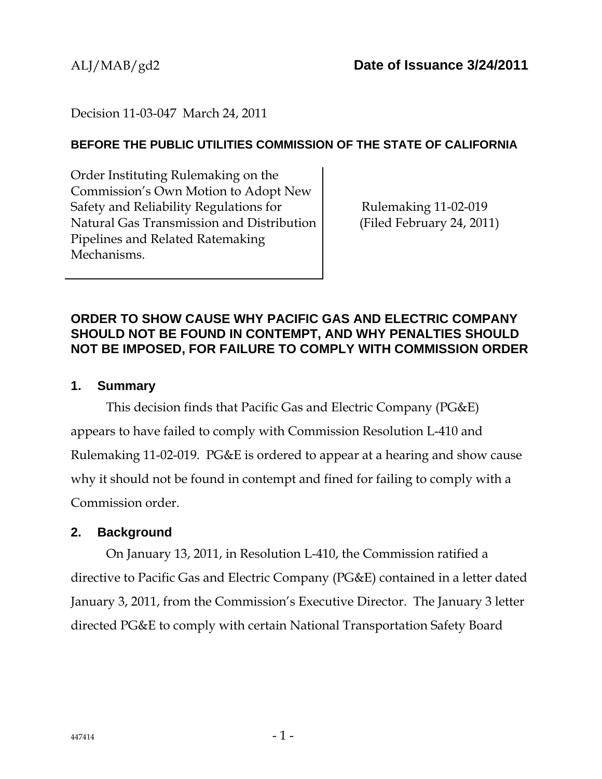# Decision 11-03-047 March 24, 2011

#### **BEFORE THE PUBLIC UTILITIES COMMISSION OF THE STATE OF CALIFORNIA**

Order Instituting Rulemaking on the Commission's Own Motion to Adopt New Safety and Reliability Regulations for Natural Gas Transmission and Distribution Pipelines and Related Ratemaking Mechanisms.

Rulemaking 11-02-019 (Filed February 24, 2011)

### **ORDER TO SHOW CAUSE WHY PACIFIC GAS AND ELECTRIC COMPANY SHOULD NOT BE FOUND IN CONTEMPT, AND WHY PENALTIES SHOULD NOT BE IMPOSED, FOR FAILURE TO COMPLY WITH COMMISSION ORDER**

#### **1. Summary**

This decision finds that Pacific Gas and Electric Company (PG&E) appears to have failed to comply with Commission Resolution L-410 and Rulemaking 11-02-019. PG&E is ordered to appear at a hearing and show cause why it should not be found in contempt and fined for failing to comply with a Commission order.

# **2. Background**

On January 13, 2011, in Resolution L-410, the Commission ratified a directive to Pacific Gas and Electric Company (PG&E) contained in a letter dated January 3, 2011, from the Commission's Executive Director. The January 3 letter directed PG&E to comply with certain National Transportation Safety Board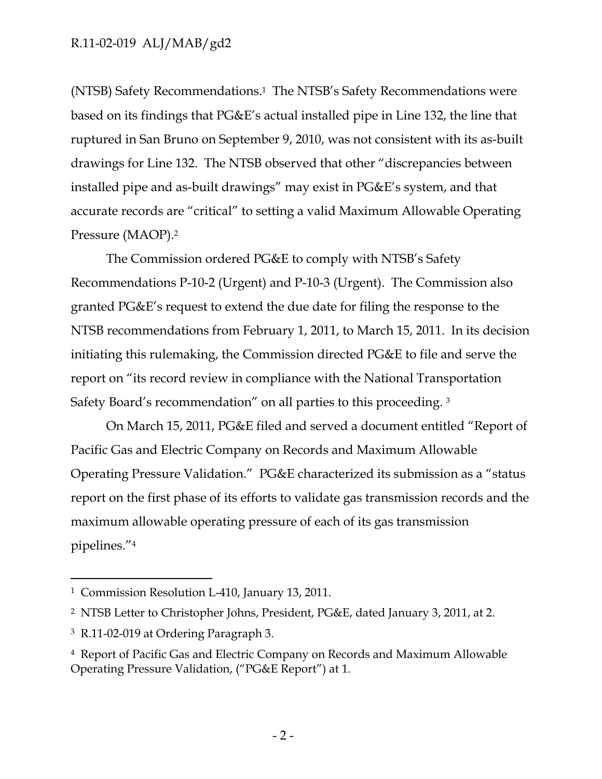(NTSB) Safety Recommendations.1 The NTSB's Safety Recommendations were based on its findings that PG&E's actual installed pipe in Line 132, the line that ruptured in San Bruno on September 9, 2010, was not consistent with its as-built drawings for Line 132. The NTSB observed that other "discrepancies between installed pipe and as-built drawings" may exist in PG&E's system, and that accurate records are "critical" to setting a valid Maximum Allowable Operating Pressure (MAOP).2

The Commission ordered PG&E to comply with NTSB's Safety Recommendations P-10-2 (Urgent) and P-10-3 (Urgent). The Commission also granted PG&E's request to extend the due date for filing the response to the NTSB recommendations from February 1, 2011, to March 15, 2011. In its decision initiating this rulemaking, the Commission directed PG&E to file and serve the report on "its record review in compliance with the National Transportation Safety Board's recommendation" on all parties to this proceeding. 3

On March 15, 2011, PG&E filed and served a document entitled "Report of Pacific Gas and Electric Company on Records and Maximum Allowable Operating Pressure Validation." PG&E characterized its submission as a "status report on the first phase of its efforts to validate gas transmission records and the maximum allowable operating pressure of each of its gas transmission pipelines."4

-

<sup>1</sup> Commission Resolution L-410, January 13, 2011.

<sup>2</sup> NTSB Letter to Christopher Johns, President, PG&E, dated January 3, 2011, at 2.

<sup>3</sup> R.11-02-019 at Ordering Paragraph 3.

<sup>4</sup> Report of Pacific Gas and Electric Company on Records and Maximum Allowable Operating Pressure Validation, ("PG&E Report") at 1.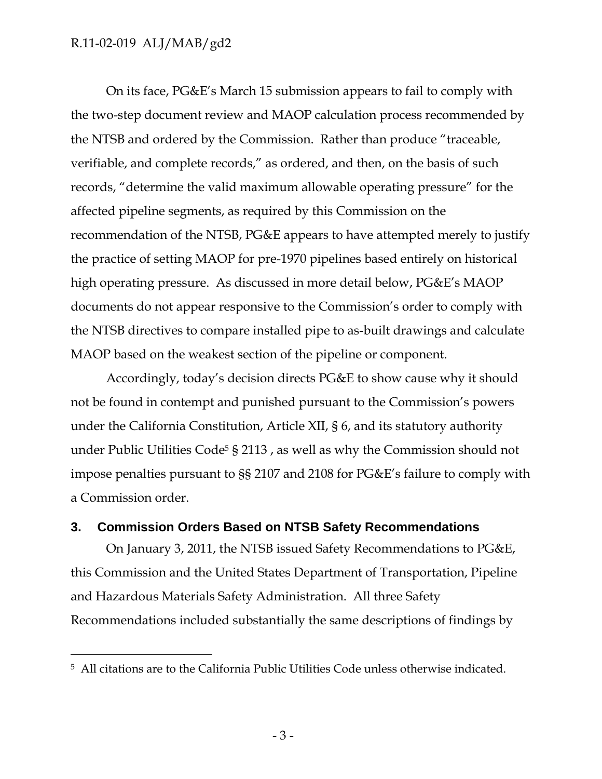$\overline{a}$ 

On its face, PG&E's March 15 submission appears to fail to comply with the two-step document review and MAOP calculation process recommended by the NTSB and ordered by the Commission. Rather than produce "traceable, verifiable, and complete records," as ordered, and then, on the basis of such records, "determine the valid maximum allowable operating pressure" for the affected pipeline segments, as required by this Commission on the recommendation of the NTSB, PG&E appears to have attempted merely to justify the practice of setting MAOP for pre-1970 pipelines based entirely on historical high operating pressure. As discussed in more detail below, PG&E's MAOP documents do not appear responsive to the Commission's order to comply with the NTSB directives to compare installed pipe to as-built drawings and calculate MAOP based on the weakest section of the pipeline or component.

Accordingly, today's decision directs PG&E to show cause why it should not be found in contempt and punished pursuant to the Commission's powers under the California Constitution, Article XII, § 6, and its statutory authority under Public Utilities Code<sup>5</sup> § 2113, as well as why the Commission should not impose penalties pursuant to §§ 2107 and 2108 for PG&E's failure to comply with a Commission order.

### **3. Commission Orders Based on NTSB Safety Recommendations**

On January 3, 2011, the NTSB issued Safety Recommendations to PG&E, this Commission and the United States Department of Transportation, Pipeline and Hazardous Materials Safety Administration. All three Safety Recommendations included substantially the same descriptions of findings by

<sup>5</sup> All citations are to the California Public Utilities Code unless otherwise indicated.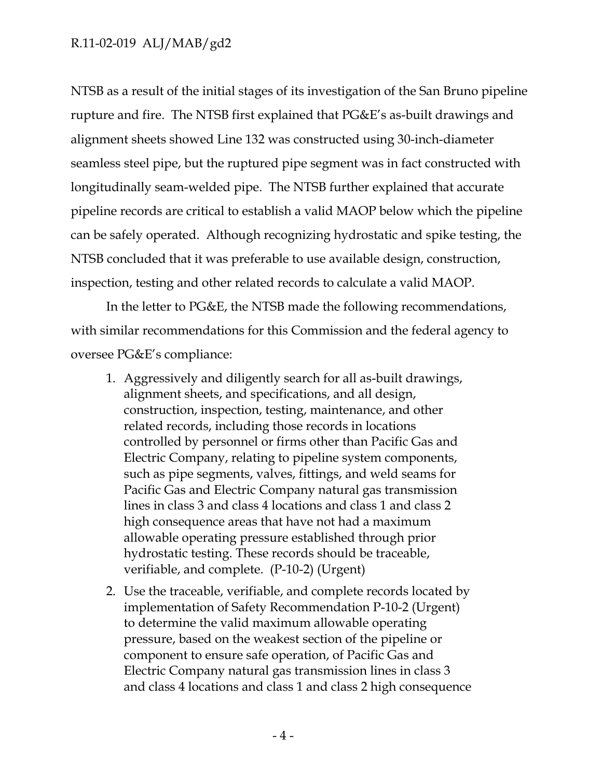NTSB as a result of the initial stages of its investigation of the San Bruno pipeline rupture and fire. The NTSB first explained that PG&E's as-built drawings and alignment sheets showed Line 132 was constructed using 30-inch-diameter seamless steel pipe, but the ruptured pipe segment was in fact constructed with longitudinally seam-welded pipe. The NTSB further explained that accurate pipeline records are critical to establish a valid MAOP below which the pipeline can be safely operated. Although recognizing hydrostatic and spike testing, the NTSB concluded that it was preferable to use available design, construction, inspection, testing and other related records to calculate a valid MAOP.

In the letter to PG&E, the NTSB made the following recommendations, with similar recommendations for this Commission and the federal agency to oversee PG&E's compliance:

- 1. Aggressively and diligently search for all as-built drawings, alignment sheets, and specifications, and all design, construction, inspection, testing, maintenance, and other related records, including those records in locations controlled by personnel or firms other than Pacific Gas and Electric Company, relating to pipeline system components, such as pipe segments, valves, fittings, and weld seams for Pacific Gas and Electric Company natural gas transmission lines in class 3 and class 4 locations and class 1 and class 2 high consequence areas that have not had a maximum allowable operating pressure established through prior hydrostatic testing. These records should be traceable, verifiable, and complete. (P-10-2) (Urgent)
- 2. Use the traceable, verifiable, and complete records located by implementation of Safety Recommendation P-10-2 (Urgent) to determine the valid maximum allowable operating pressure, based on the weakest section of the pipeline or component to ensure safe operation, of Pacific Gas and Electric Company natural gas transmission lines in class 3 and class 4 locations and class 1 and class 2 high consequence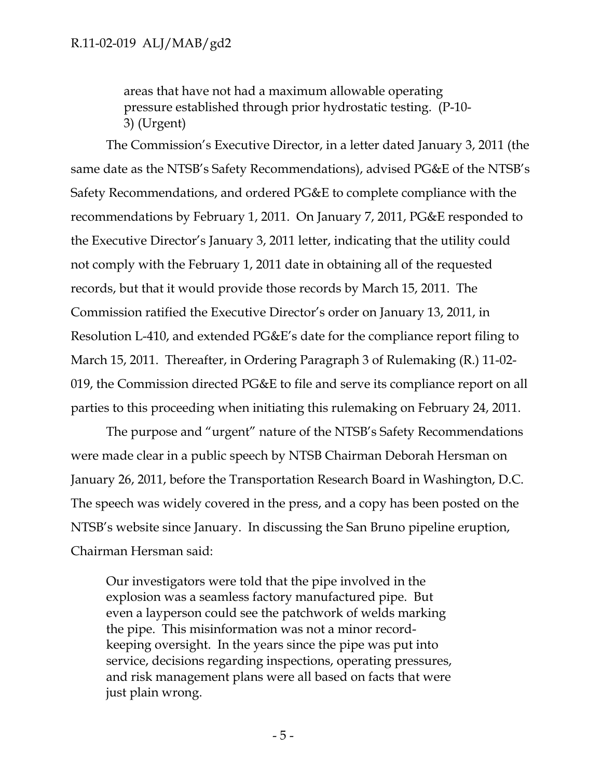areas that have not had a maximum allowable operating pressure established through prior hydrostatic testing. (P-10- 3) (Urgent)

The Commission's Executive Director, in a letter dated January 3, 2011 (the same date as the NTSB's Safety Recommendations), advised PG&E of the NTSB's Safety Recommendations, and ordered PG&E to complete compliance with the recommendations by February 1, 2011. On January 7, 2011, PG&E responded to the Executive Director's January 3, 2011 letter, indicating that the utility could not comply with the February 1, 2011 date in obtaining all of the requested records, but that it would provide those records by March 15, 2011. The Commission ratified the Executive Director's order on January 13, 2011, in Resolution L-410, and extended PG&E's date for the compliance report filing to March 15, 2011. Thereafter, in Ordering Paragraph 3 of Rulemaking (R.) 11-02- 019, the Commission directed PG&E to file and serve its compliance report on all parties to this proceeding when initiating this rulemaking on February 24, 2011.

The purpose and "urgent" nature of the NTSB's Safety Recommendations were made clear in a public speech by NTSB Chairman Deborah Hersman on January 26, 2011, before the Transportation Research Board in Washington, D.C. The speech was widely covered in the press, and a copy has been posted on the NTSB's website since January. In discussing the San Bruno pipeline eruption, Chairman Hersman said:

Our investigators were told that the pipe involved in the explosion was a seamless factory manufactured pipe. But even a layperson could see the patchwork of welds marking the pipe. This misinformation was not a minor recordkeeping oversight. In the years since the pipe was put into service, decisions regarding inspections, operating pressures, and risk management plans were all based on facts that were just plain wrong.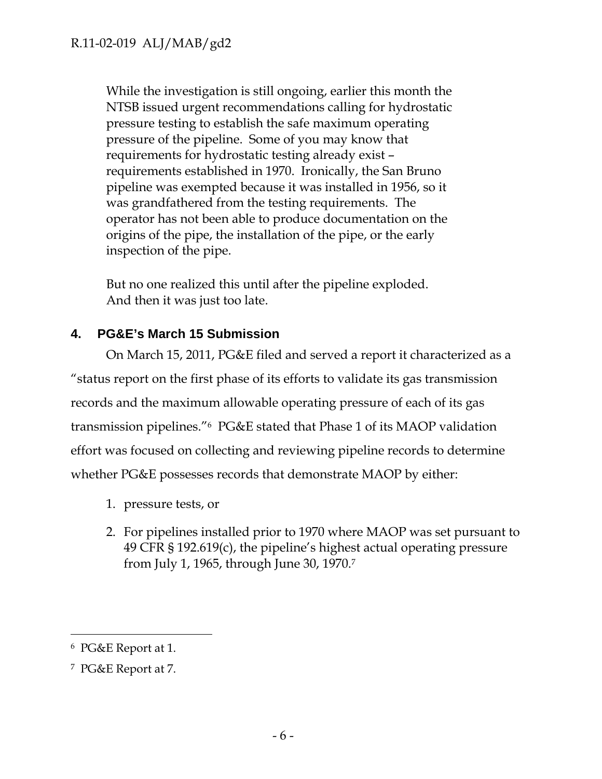While the investigation is still ongoing, earlier this month the NTSB issued urgent recommendations calling for hydrostatic pressure testing to establish the safe maximum operating pressure of the pipeline. Some of you may know that requirements for hydrostatic testing already exist – requirements established in 1970. Ironically, the San Bruno pipeline was exempted because it was installed in 1956, so it was grandfathered from the testing requirements. The operator has not been able to produce documentation on the origins of the pipe, the installation of the pipe, or the early inspection of the pipe.

But no one realized this until after the pipeline exploded. And then it was just too late.

# **4. PG&E's March 15 Submission**

On March 15, 2011, PG&E filed and served a report it characterized as a "status report on the first phase of its efforts to validate its gas transmission records and the maximum allowable operating pressure of each of its gas transmission pipelines."6 PG&E stated that Phase 1 of its MAOP validation effort was focused on collecting and reviewing pipeline records to determine whether PG&E possesses records that demonstrate MAOP by either:

- 1. pressure tests, or
- 2. For pipelines installed prior to 1970 where MAOP was set pursuant to 49 CFR § 192.619(c), the pipeline's highest actual operating pressure from July 1, 1965, through June 30, 1970.7

 $\overline{a}$ 

<sup>6</sup> PG&E Report at 1.

<sup>7</sup> PG&E Report at 7.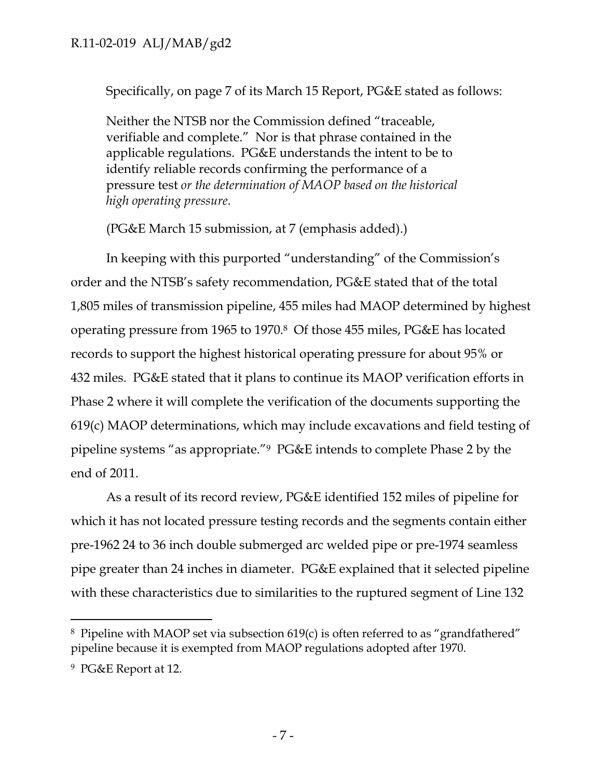Specifically, on page 7 of its March 15 Report, PG&E stated as follows:

Neither the NTSB nor the Commission defined "traceable, verifiable and complete." Nor is that phrase contained in the applicable regulations. PG&E understands the intent to be to identify reliable records confirming the performance of a pressure test *or the determination of MAOP based on the historical high operating pressure*.

(PG&E March 15 submission, at 7 (emphasis added).)

In keeping with this purported "understanding" of the Commission's order and the NTSB's safety recommendation, PG&E stated that of the total 1,805 miles of transmission pipeline, 455 miles had MAOP determined by highest operating pressure from 1965 to 1970.8 Of those 455 miles, PG&E has located records to support the highest historical operating pressure for about 95% or 432 miles. PG&E stated that it plans to continue its MAOP verification efforts in Phase 2 where it will complete the verification of the documents supporting the 619(c) MAOP determinations, which may include excavations and field testing of pipeline systems "as appropriate."9 PG&E intends to complete Phase 2 by the end of 2011.

As a result of its record review, PG&E identified 152 miles of pipeline for which it has not located pressure testing records and the segments contain either pre-1962 24 to 36 inch double submerged arc welded pipe or pre-1974 seamless pipe greater than 24 inches in diameter. PG&E explained that it selected pipeline with these characteristics due to similarities to the ruptured segment of Line 132

 $\overline{a}$ 

<sup>8</sup> Pipeline with MAOP set via subsection 619(c) is often referred to as "grandfathered" pipeline because it is exempted from MAOP regulations adopted after 1970.

<sup>9</sup> PG&E Report at 12.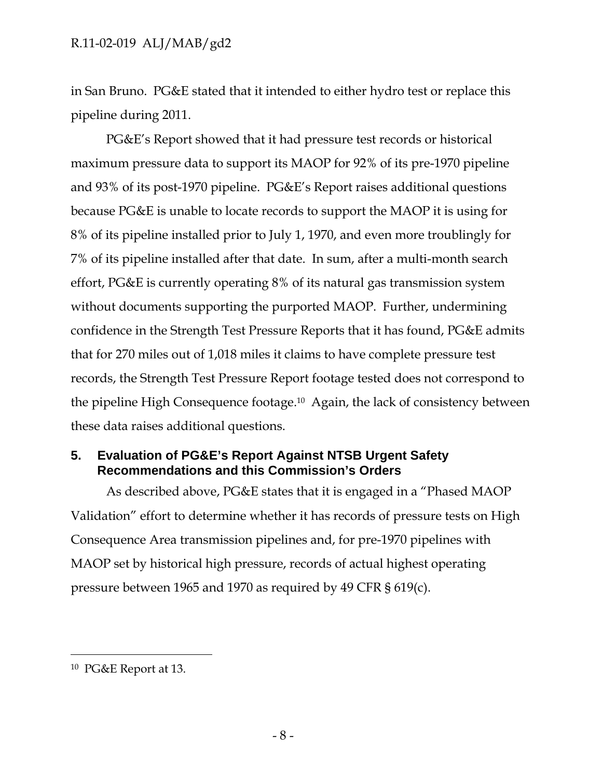in San Bruno. PG&E stated that it intended to either hydro test or replace this pipeline during 2011.

PG&E's Report showed that it had pressure test records or historical maximum pressure data to support its MAOP for 92% of its pre-1970 pipeline and 93% of its post-1970 pipeline. PG&E's Report raises additional questions because PG&E is unable to locate records to support the MAOP it is using for 8% of its pipeline installed prior to July 1, 1970, and even more troublingly for 7% of its pipeline installed after that date. In sum, after a multi-month search effort, PG&E is currently operating 8% of its natural gas transmission system without documents supporting the purported MAOP. Further, undermining confidence in the Strength Test Pressure Reports that it has found, PG&E admits that for 270 miles out of 1,018 miles it claims to have complete pressure test records, the Strength Test Pressure Report footage tested does not correspond to the pipeline High Consequence footage.10 Again, the lack of consistency between these data raises additional questions.

# **5. Evaluation of PG&E's Report Against NTSB Urgent Safety Recommendations and this Commission's Orders**

As described above, PG&E states that it is engaged in a "Phased MAOP Validation" effort to determine whether it has records of pressure tests on High Consequence Area transmission pipelines and, for pre-1970 pipelines with MAOP set by historical high pressure, records of actual highest operating pressure between 1965 and 1970 as required by 49 CFR § 619(c).

-

<sup>10</sup> PG&E Report at 13.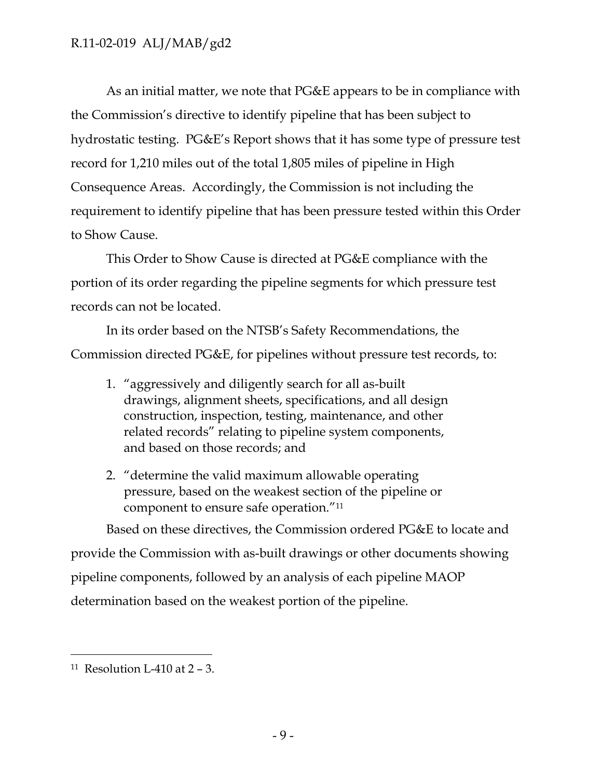As an initial matter, we note that PG&E appears to be in compliance with the Commission's directive to identify pipeline that has been subject to hydrostatic testing. PG&E's Report shows that it has some type of pressure test record for 1,210 miles out of the total 1,805 miles of pipeline in High Consequence Areas. Accordingly, the Commission is not including the requirement to identify pipeline that has been pressure tested within this Order to Show Cause.

This Order to Show Cause is directed at PG&E compliance with the portion of its order regarding the pipeline segments for which pressure test records can not be located.

In its order based on the NTSB's Safety Recommendations, the Commission directed PG&E, for pipelines without pressure test records, to:

- 1. "aggressively and diligently search for all as-built drawings, alignment sheets, specifications, and all design construction, inspection, testing, maintenance, and other related records" relating to pipeline system components, and based on those records; and
- 2. "determine the valid maximum allowable operating pressure, based on the weakest section of the pipeline or component to ensure safe operation."11

Based on these directives, the Commission ordered PG&E to locate and

provide the Commission with as-built drawings or other documents showing pipeline components, followed by an analysis of each pipeline MAOP determination based on the weakest portion of the pipeline.

-

<sup>&</sup>lt;sup>11</sup> Resolution L-410 at  $2 - 3$ .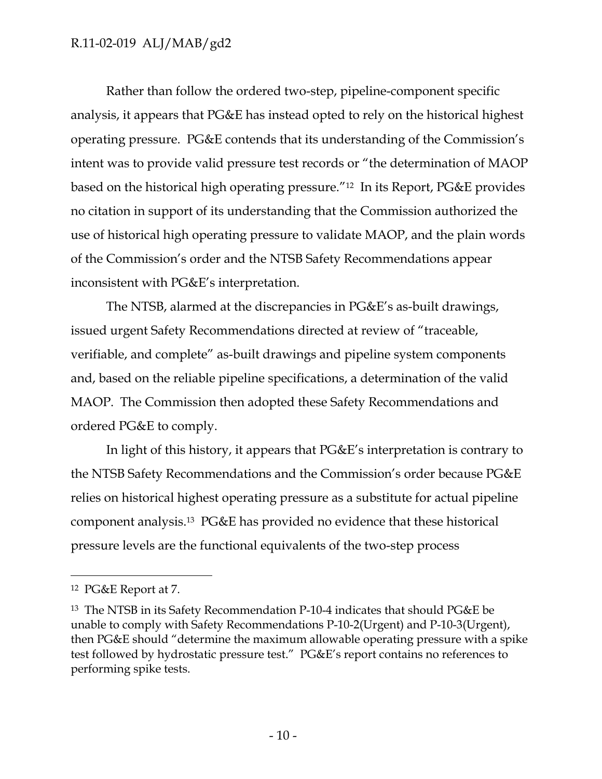Rather than follow the ordered two-step, pipeline-component specific analysis, it appears that PG&E has instead opted to rely on the historical highest operating pressure. PG&E contends that its understanding of the Commission's intent was to provide valid pressure test records or "the determination of MAOP based on the historical high operating pressure."12 In its Report, PG&E provides no citation in support of its understanding that the Commission authorized the use of historical high operating pressure to validate MAOP, and the plain words of the Commission's order and the NTSB Safety Recommendations appear inconsistent with PG&E's interpretation.

The NTSB, alarmed at the discrepancies in PG&E's as-built drawings, issued urgent Safety Recommendations directed at review of "traceable, verifiable, and complete" as-built drawings and pipeline system components and, based on the reliable pipeline specifications, a determination of the valid MAOP. The Commission then adopted these Safety Recommendations and ordered PG&E to comply.

In light of this history, it appears that PG&E's interpretation is contrary to the NTSB Safety Recommendations and the Commission's order because PG&E relies on historical highest operating pressure as a substitute for actual pipeline component analysis.13 PG&E has provided no evidence that these historical pressure levels are the functional equivalents of the two-step process

 $\overline{a}$ 

<sup>12</sup> PG&E Report at 7.

<sup>13</sup> The NTSB in its Safety Recommendation P-10-4 indicates that should PG&E be unable to comply with Safety Recommendations P-10-2(Urgent) and P-10-3(Urgent), then PG&E should "determine the maximum allowable operating pressure with a spike test followed by hydrostatic pressure test." PG&E's report contains no references to performing spike tests.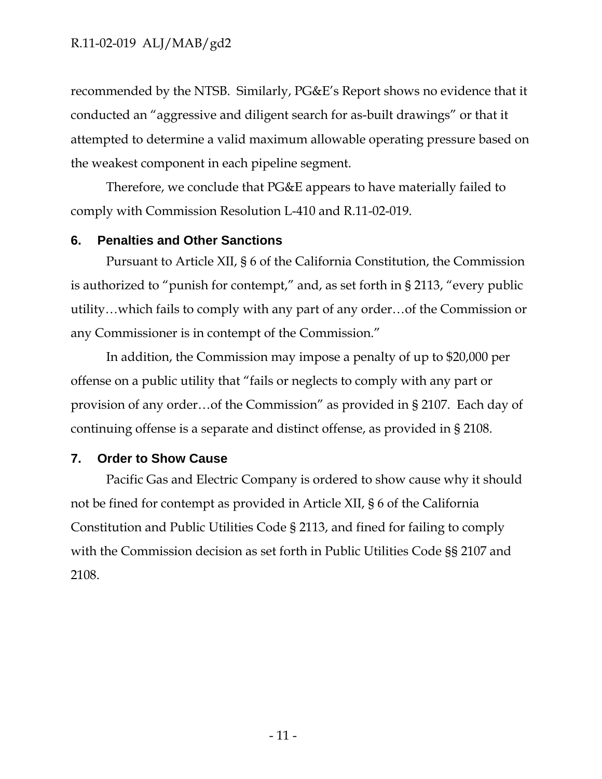recommended by the NTSB. Similarly, PG&E's Report shows no evidence that it conducted an "aggressive and diligent search for as-built drawings" or that it attempted to determine a valid maximum allowable operating pressure based on the weakest component in each pipeline segment.

Therefore, we conclude that PG&E appears to have materially failed to comply with Commission Resolution L-410 and R.11-02-019.

#### **6. Penalties and Other Sanctions**

Pursuant to Article XII, § 6 of the California Constitution, the Commission is authorized to "punish for contempt," and, as set forth in § 2113, "every public utility…which fails to comply with any part of any order…of the Commission or any Commissioner is in contempt of the Commission."

In addition, the Commission may impose a penalty of up to \$20,000 per offense on a public utility that "fails or neglects to comply with any part or provision of any order…of the Commission" as provided in § 2107. Each day of continuing offense is a separate and distinct offense, as provided in § 2108.

#### **7. Order to Show Cause**

Pacific Gas and Electric Company is ordered to show cause why it should not be fined for contempt as provided in Article XII, § 6 of the California Constitution and Public Utilities Code § 2113, and fined for failing to comply with the Commission decision as set forth in Public Utilities Code §§ 2107 and 2108.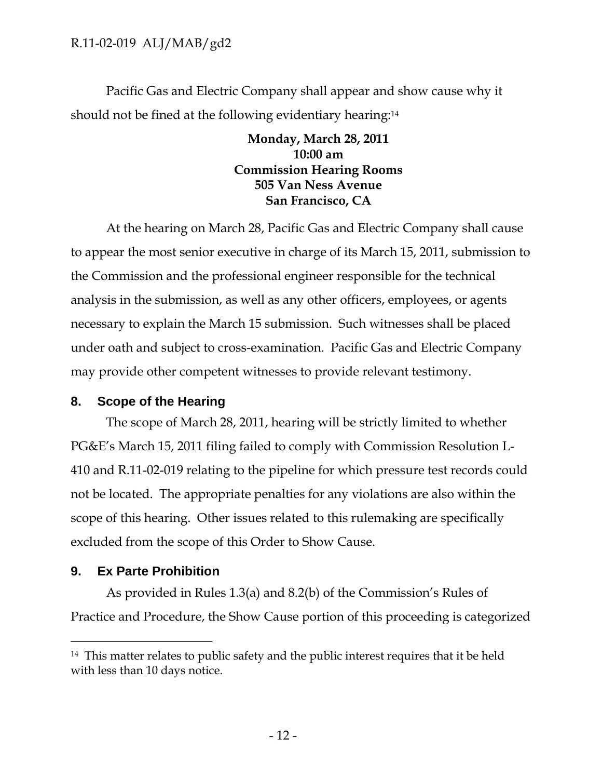Pacific Gas and Electric Company shall appear and show cause why it should not be fined at the following evidentiary hearing:<sup>14</sup>

# **Monday, March 28, 2011 10:00 am Commission Hearing Rooms 505 Van Ness Avenue San Francisco, CA**

At the hearing on March 28, Pacific Gas and Electric Company shall cause to appear the most senior executive in charge of its March 15, 2011, submission to the Commission and the professional engineer responsible for the technical analysis in the submission, as well as any other officers, employees, or agents necessary to explain the March 15 submission. Such witnesses shall be placed under oath and subject to cross-examination. Pacific Gas and Electric Company may provide other competent witnesses to provide relevant testimony.

# **8. Scope of the Hearing**

The scope of March 28, 2011, hearing will be strictly limited to whether PG&E's March 15, 2011 filing failed to comply with Commission Resolution L-410 and R.11-02-019 relating to the pipeline for which pressure test records could not be located. The appropriate penalties for any violations are also within the scope of this hearing. Other issues related to this rulemaking are specifically excluded from the scope of this Order to Show Cause.

# **9. Ex Parte Prohibition**

-

As provided in Rules 1.3(a) and 8.2(b) of the Commission's Rules of Practice and Procedure, the Show Cause portion of this proceeding is categorized

<sup>&</sup>lt;sup>14</sup> This matter relates to public safety and the public interest requires that it be held with less than 10 days notice.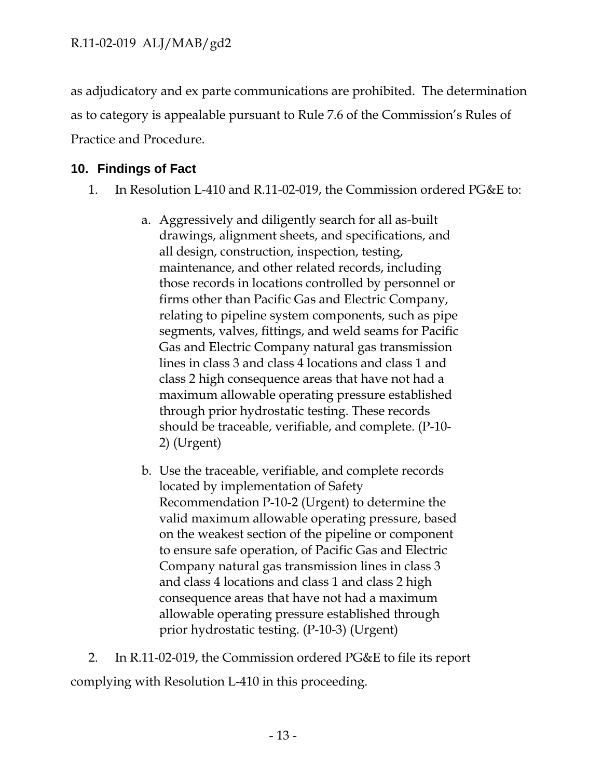as adjudicatory and ex parte communications are prohibited. The determination as to category is appealable pursuant to Rule 7.6 of the Commission's Rules of Practice and Procedure.

# **10. Findings of Fact**

- 1. In Resolution L-410 and R.11-02-019, the Commission ordered PG&E to:
	- a. Aggressively and diligently search for all as-built drawings, alignment sheets, and specifications, and all design, construction, inspection, testing, maintenance, and other related records, including those records in locations controlled by personnel or firms other than Pacific Gas and Electric Company, relating to pipeline system components, such as pipe segments, valves, fittings, and weld seams for Pacific Gas and Electric Company natural gas transmission lines in class 3 and class 4 locations and class 1 and class 2 high consequence areas that have not had a maximum allowable operating pressure established through prior hydrostatic testing. These records should be traceable, verifiable, and complete. (P-10- 2) (Urgent)
	- b. Use the traceable, verifiable, and complete records located by implementation of Safety Recommendation P-10-2 (Urgent) to determine the valid maximum allowable operating pressure, based on the weakest section of the pipeline or component to ensure safe operation, of Pacific Gas and Electric Company natural gas transmission lines in class 3 and class 4 locations and class 1 and class 2 high consequence areas that have not had a maximum allowable operating pressure established through prior hydrostatic testing. (P-10-3) (Urgent)

2. In R.11-02-019, the Commission ordered PG&E to file its report complying with Resolution L-410 in this proceeding.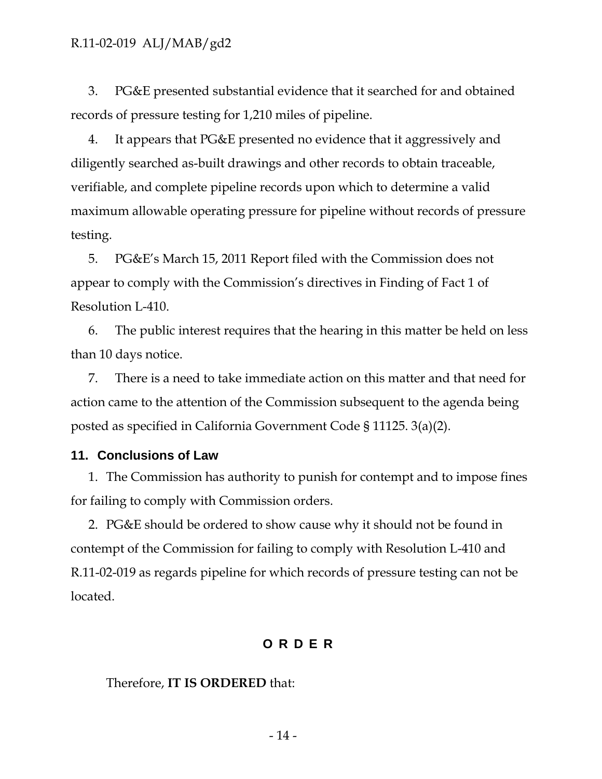3. PG&E presented substantial evidence that it searched for and obtained records of pressure testing for 1,210 miles of pipeline.

4. It appears that PG&E presented no evidence that it aggressively and diligently searched as-built drawings and other records to obtain traceable, verifiable, and complete pipeline records upon which to determine a valid maximum allowable operating pressure for pipeline without records of pressure testing.

5. PG&E's March 15, 2011 Report filed with the Commission does not appear to comply with the Commission's directives in Finding of Fact 1 of Resolution L-410.

6. The public interest requires that the hearing in this matter be held on less than 10 days notice.

7. There is a need to take immediate action on this matter and that need for action came to the attention of the Commission subsequent to the agenda being posted as specified in California Government Code § 11125. 3(a)(2).

#### **11. Conclusions of Law**

1. The Commission has authority to punish for contempt and to impose fines for failing to comply with Commission orders.

2. PG&E should be ordered to show cause why it should not be found in contempt of the Commission for failing to comply with Resolution L-410 and R.11-02-019 as regards pipeline for which records of pressure testing can not be located.

# **ORDER**

#### Therefore, **IT IS ORDERED** that: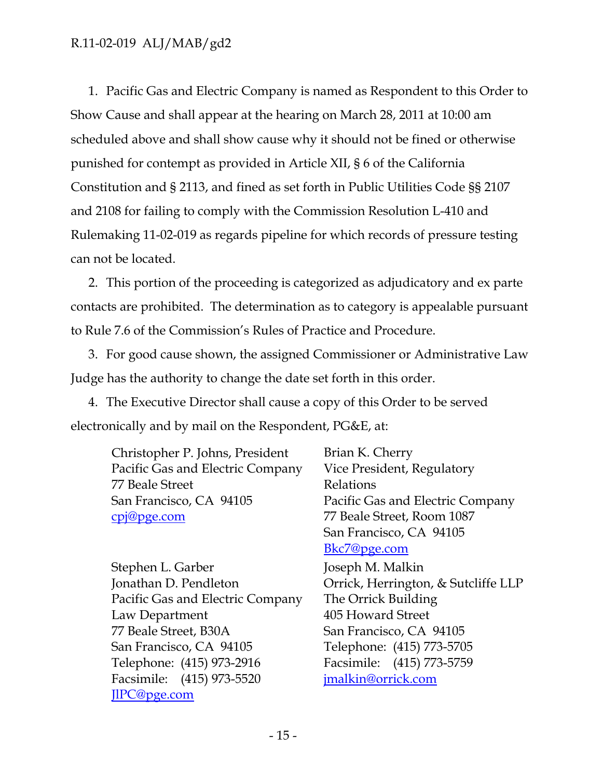1. Pacific Gas and Electric Company is named as Respondent to this Order to Show Cause and shall appear at the hearing on March 28, 2011 at 10:00 am scheduled above and shall show cause why it should not be fined or otherwise punished for contempt as provided in Article XII, § 6 of the California Constitution and § 2113, and fined as set forth in Public Utilities Code §§ 2107 and 2108 for failing to comply with the Commission Resolution L-410 and Rulemaking 11-02-019 as regards pipeline for which records of pressure testing can not be located.

2. This portion of the proceeding is categorized as adjudicatory and ex parte contacts are prohibited. The determination as to category is appealable pursuant to Rule 7.6 of the Commission's Rules of Practice and Procedure.

3. For good cause shown, the assigned Commissioner or Administrative Law Judge has the authority to change the date set forth in this order.

4. The Executive Director shall cause a copy of this Order to be served electronically and by mail on the Respondent, PG&E, at:

| Christopher P. Johns, President  | Brian K. Cherry                     |
|----------------------------------|-------------------------------------|
| Pacific Gas and Electric Company | Vice President, Regulatory          |
| 77 Beale Street                  | Relations                           |
| San Francisco, CA 94105          | Pacific Gas and Electric Company    |
| <u>cpj@pge.com</u>               | 77 Beale Street, Room 1087          |
|                                  | San Francisco, CA 94105             |
|                                  | Bkc7@pge.com                        |
| Stephen L. Garber                | Joseph M. Malkin                    |
| Jonathan D. Pendleton            | Orrick, Herrington, & Sutcliffe LLP |
| Pacific Gas and Electric Company | The Orrick Building                 |
| Law Department                   | 405 Howard Street                   |
| 77 Beale Street, B30A            | San Francisco, CA 94105             |
| San Francisco, CA 94105          | Telephone: (415) 773-5705           |

Facsimile: (415) 773-5759

jmalkin@orrick.com

Telephone: (415) 973-2916 Facsimile: (415) 973-5520 JlPC@pge.com

- 15 -